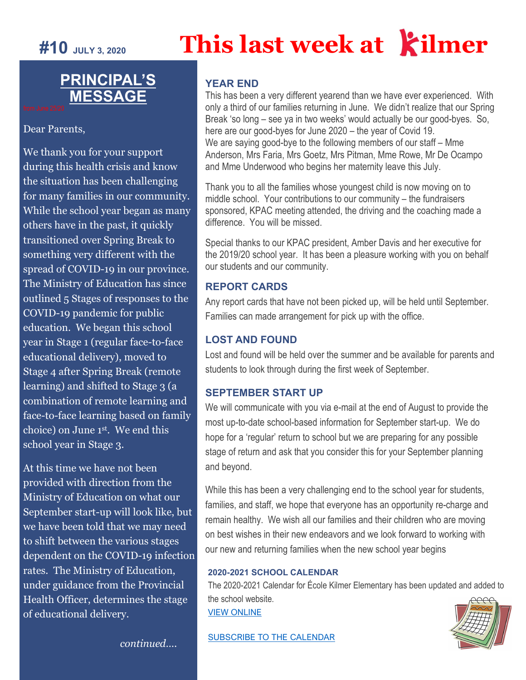# **#10 JULY 3, 2020 This last week at ilmer**

## **PRINCIPAL'S MESSAGE**

Dear Parents,

We thank you for your support during this health crisis and know the situation has been challenging for many families in our community. While the school year began as many others have in the past, it quickly transitioned over Spring Break to something very different with the spread of COVID-19 in our province. The Ministry of Education has since outlined 5 Stages of responses to the COVID-19 pandemic for public education. We began this school year in Stage 1 (regular face-to-face educational delivery), moved to Stage 4 after Spring Break (remote learning) and shifted to Stage 3 (a combination of remote learning and face-to-face learning based on family choice) on June 1st. We end this school year in Stage 3.

At this time we have not been provided with direction from the Ministry of Education on what our September start-up will look like, but we have been told that we may need to shift between the various stages dependent on the COVID-19 infection rates. The Ministry of Education, under guidance from the Provincial Health Officer, determines the stage of educational delivery.

#### **YEAR END**

This has been a very different yearend than we have ever experienced. With only a third of our families returning in June. We didn't realize that our Spring Break 'so long – see ya in two weeks' would actually be our good-byes. So, here are our good-byes for June 2020 – the year of Covid 19. We are saying good-bye to the following members of our staff – Mme Anderson, Mrs Faria, Mrs Goetz, Mrs Pitman, Mme Rowe, Mr De Ocampo and Mme Underwood who begins her maternity leave this July.

Thank you to all the families whose youngest child is now moving on to middle school. Your contributions to our community – the fundraisers sponsored, KPAC meeting attended, the driving and the coaching made a difference. You will be missed.

Special thanks to our KPAC president, Amber Davis and her executive for the 2019/20 school year. It has been a pleasure working with you on behalf our students and our community.

#### **REPORT CARDS**

Any report cards that have not been picked up, will be held until September. Families can made arrangement for pick up with the office.

#### **LOST AND FOUND**

Lost and found will be held over the summer and be available for parents and students to look through during the first week of September.

#### **SEPTEMBER START UP**

We will communicate with you via e-mail at the end of August to provide the most up-to-date school-based information for September start-up. We do hope for a 'regular' return to school but we are preparing for any possible stage of return and ask that you consider this for your September planning and beyond.

While this has been a very challenging end to the school year for students, families, and staff, we hope that everyone has an opportunity re-charge and remain healthy. We wish all our families and their children who are moving on best wishes in their new endeavors and we look forward to working with our new and returning families when the new school year begins

#### **[2020-2021 SCHOOL CALENDAR](https://www.sd43.bc.ca/school/kilmer/Documents/Kilmer%20School%20Calendar%202020-2021.pdf)**

The 2020-2021 Calendar for École Kilmer Elementary has been updated and added to the school website. [VIEW ONLINE](http://www.sd43.bc.ca/school/kilmer/Documents/Kilmer%20School%20Calendar%202020-2021.pdf)

[SUBSCRIBE TO THE CALENDAR](http://www.sd43.bc.ca/school/kilmer/Lists/Calendar/calendar.aspx#/=)



*continued….*